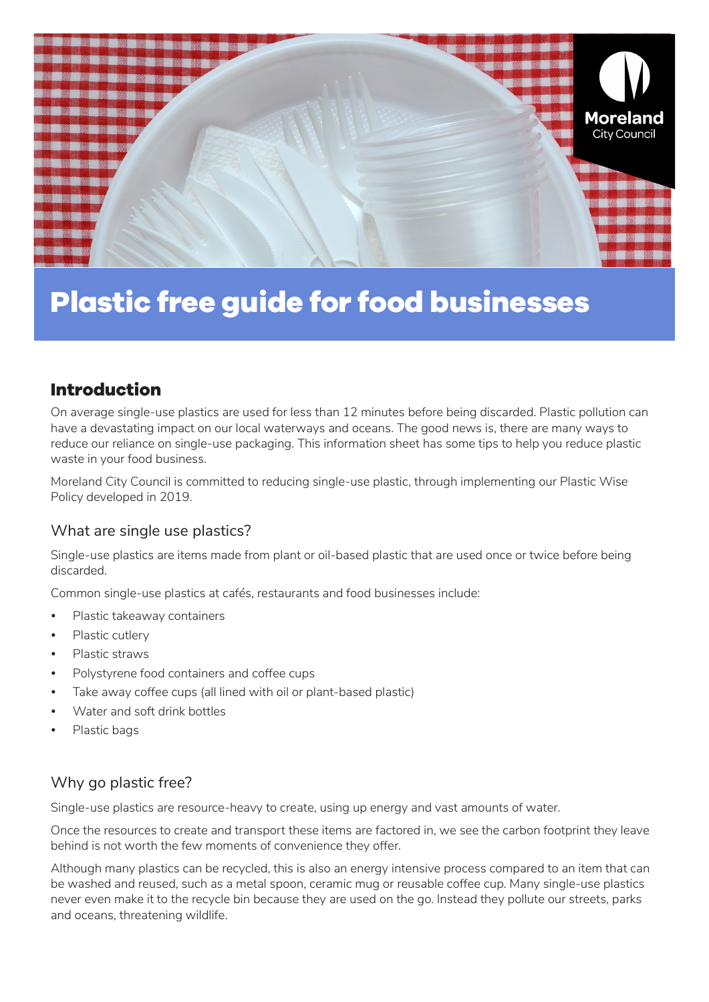

# **Plastic free guide for food businesses**

## **Introduction**

On average single-use plastics are used for less than 12 minutes before being discarded. Plastic pollution can have a devastating impact on our local waterways and oceans. The good news is, there are many ways to reduce our reliance on single-use packaging. This information sheet has some tips to help you reduce plastic waste in your food business.

Moreland City Council is committed to reducing single-use plastic, through implementing our Plastic Wise Policy developed in 2019.

#### What are single use plastics?

Single-use plastics are items made from plant or oil-based plastic that are used once or twice before being discarded.

Common single-use plastics at cafés, restaurants and food businesses include:

- Plastic takeaway containers
- Plastic cutlery
- Plastic straws
- Polystyrene food containers and coffee cups
- Take away coffee cups (all lined with oil or plant-based plastic)
- Water and soft drink bottles
- Plastic bags

#### Why go plastic free?

Single-use plastics are resource-heavy to create, using up energy and vast amounts of water.

Once the resources to create and transport these items are factored in, we see the carbon footprint they leave behind is not worth the few moments of convenience they offer.

Although many plastics can be recycled, this is also an energy intensive process compared to an item that can be washed and reused, such as a metal spoon, ceramic mug or reusable coffee cup. Many single-use plastics never even make it to the recycle bin because they are used on the go. Instead they pollute our streets, parks and oceans, threatening wildlife.